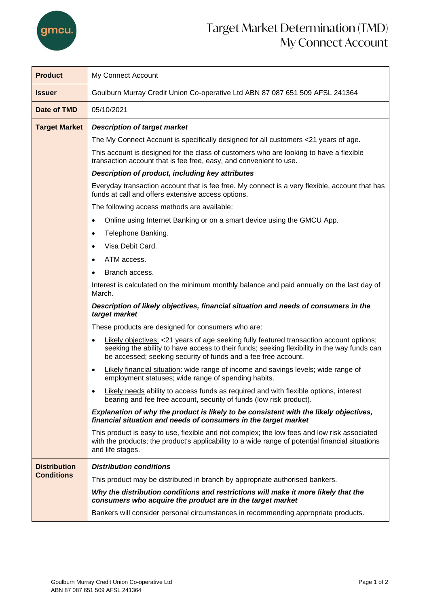

## Target Market Determination (TMD) My Connect Account

| <b>Product</b>       | My Connect Account                                                                                                                                                                                                                                       |  |  |  |
|----------------------|----------------------------------------------------------------------------------------------------------------------------------------------------------------------------------------------------------------------------------------------------------|--|--|--|
| <b>Issuer</b>        | Goulburn Murray Credit Union Co-operative Ltd ABN 87 087 651 509 AFSL 241364                                                                                                                                                                             |  |  |  |
| Date of TMD          | 05/10/2021                                                                                                                                                                                                                                               |  |  |  |
| <b>Target Market</b> | <b>Description of target market</b>                                                                                                                                                                                                                      |  |  |  |
|                      | The My Connect Account is specifically designed for all customers <21 years of age.                                                                                                                                                                      |  |  |  |
|                      | This account is designed for the class of customers who are looking to have a flexible<br>transaction account that is fee free, easy, and convenient to use.                                                                                             |  |  |  |
|                      | Description of product, including key attributes                                                                                                                                                                                                         |  |  |  |
|                      | Everyday transaction account that is fee free. My connect is a very flexible, account that has<br>funds at call and offers extensive access options.                                                                                                     |  |  |  |
|                      | The following access methods are available:                                                                                                                                                                                                              |  |  |  |
|                      | Online using Internet Banking or on a smart device using the GMCU App.<br>$\bullet$                                                                                                                                                                      |  |  |  |
|                      | Telephone Banking.<br>$\bullet$                                                                                                                                                                                                                          |  |  |  |
|                      | Visa Debit Card.<br>$\bullet$                                                                                                                                                                                                                            |  |  |  |
|                      | ATM access.<br>$\bullet$                                                                                                                                                                                                                                 |  |  |  |
|                      | Branch access.                                                                                                                                                                                                                                           |  |  |  |
|                      | Interest is calculated on the minimum monthly balance and paid annually on the last day of<br>March.                                                                                                                                                     |  |  |  |
|                      | Description of likely objectives, financial situation and needs of consumers in the<br>target market                                                                                                                                                     |  |  |  |
|                      | These products are designed for consumers who are:                                                                                                                                                                                                       |  |  |  |
|                      | Likely objectives: <21 years of age seeking fully featured transaction account options;<br>seeking the ability to have access to their funds; seeking flexibility in the way funds can<br>be accessed; seeking security of funds and a fee free account. |  |  |  |
|                      | Likely financial situation: wide range of income and savings levels; wide range of<br>$\bullet$<br>employment statuses; wide range of spending habits.                                                                                                   |  |  |  |
|                      | Likely needs ability to access funds as required and with flexible options, interest<br>bearing and fee free account, security of funds (low risk product).                                                                                              |  |  |  |
|                      | Explanation of why the product is likely to be consistent with the likely objectives,<br>financial situation and needs of consumers in the target market                                                                                                 |  |  |  |
|                      | This product is easy to use, flexible and not complex; the low fees and low risk associated<br>with the products; the product's applicability to a wide range of potential financial situations<br>and life stages.                                      |  |  |  |
| <b>Distribution</b>  | <b>Distribution conditions</b>                                                                                                                                                                                                                           |  |  |  |
| <b>Conditions</b>    | This product may be distributed in branch by appropriate authorised bankers.                                                                                                                                                                             |  |  |  |
|                      | Why the distribution conditions and restrictions will make it more likely that the<br>consumers who acquire the product are in the target market                                                                                                         |  |  |  |
|                      | Bankers will consider personal circumstances in recommending appropriate products.                                                                                                                                                                       |  |  |  |